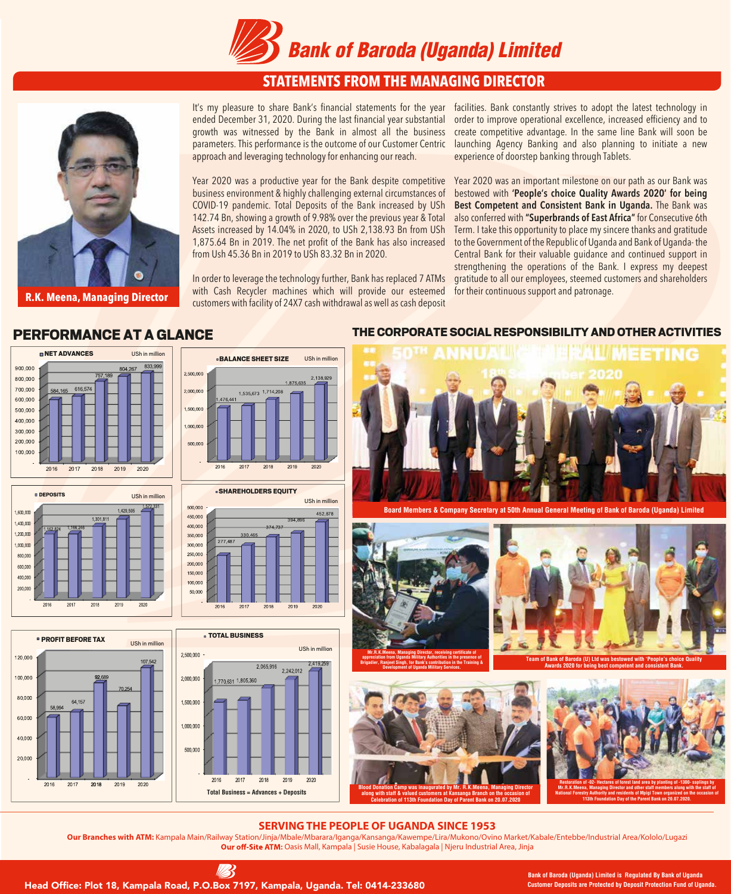

## **STATEMENTS FROM THE MANAGING DIRECTOR**



**R.K. Meena, Managing Director**

It's my pleasure to share Bank's financial statements for the year ended December 31, 2020. During the last financial year substantial growth was witnessed by the Bank in almost all the business parameters. This performance is the outcome of our Customer Centric approach and leveraging technology for enhancing our reach.

Year 2020 was a productive year for the Bank despite competitive business environment & highly challenging external circumstances of COVID-19 pandemic. Total Deposits of the Bank increased by USh 142.74 Bn, showing a growth of 9.98% over the previous year & Total Assets increased by 14.04% in 2020, to USh 2,138.93 Bn from USh 1,875.64 Bn in 2019. The net profit of the Bank has also increased from Ush 45.36 Bn in 2019 to USh 83.32 Bn in 2020.

In order to leverage the technology further, Bank has replaced 7 ATMs with Cash Recycler machines which will provide our esteemed customers with facility of 24X7 cash withdrawal as well as cash deposit

USh in million

facilities. Bank constantly strives to adopt the latest technology in order to improve operational excellence, increased efficiency and to create competitive advantage. In the same line Bank will soon be launching Agency Banking and also planning to initiate a new experience of doorstep banking through Tablets.

Year 2020 was an important milestone on our path as our Bank was bestowed with **'People's choice Quality Awards 2020' for being Best Competent and Consistent Bank in Uganda.** The Bank was also conferred with **"Superbrands of East Africa"** for Consecutive 6th Term. I take this opportunity to place my sincere thanks and gratitude to the Government of the Republic of Uganda and Bank of Uganda- the Central Bank for their valuable guidance and continued support in strengthening the operations of the Bank. I express my deepest gratitude to all our employees, steemed customers and shareholders for their continuous support and patronage.





**PROFIT BEFORE TAX** 

64 157

2017

2018

2019

2020

120,000

100,000

80.000

60,000

40.000

20,000

2016

USh in milli



**BALANCE SHEET SIZE** 





## PERFORMANCE AT A GLANCE THE CORPORATE SOCIAL RESPONSIBILITY AND OTHER ACTIVITIES



### **SERVINGTHE PEOPLE OF UGANDA SINCE 1953**

**Blood Donation Camp was inaugurated by Mr. R.K.Meena, Managing Director along with staff & valued customers at Kansanga Branch on the occasion of Celebration of 113th Foundation Day of Parent Bank on 20.07.2020**

**Our Branches with ATM:** Kampala Main/Railway Station/Jinja/Mbale/Mbarara/Iganga/Kansanga/Kawempe/Lira/Mukono/Ovino Market/Kabale/Entebbe/Industrial Area/Kololo/Lugazi Our off-Site ATM: Oasis Mall, Kampala | Susie House, Kabalagala | Njeru Industrial Area, Jinja



Head Office: Plot 18, Kampala Road, P.O.Box 7197, Kampala, Uganda. Tel: 0414-233680 **Customer Deposits are Protected by Deposit Protection** Fund of Ug

**Bank of Baroda (Uganda) Limited is Regulated By Bank of Uganda**

**Mr.R.K.Meena, Managing Director and other staff members along with the staff of National Forestry Authority and residents of Mpigi Town organized on the occasion of 113th Foundation Day of the Parent Bank on 20.07.2020.**